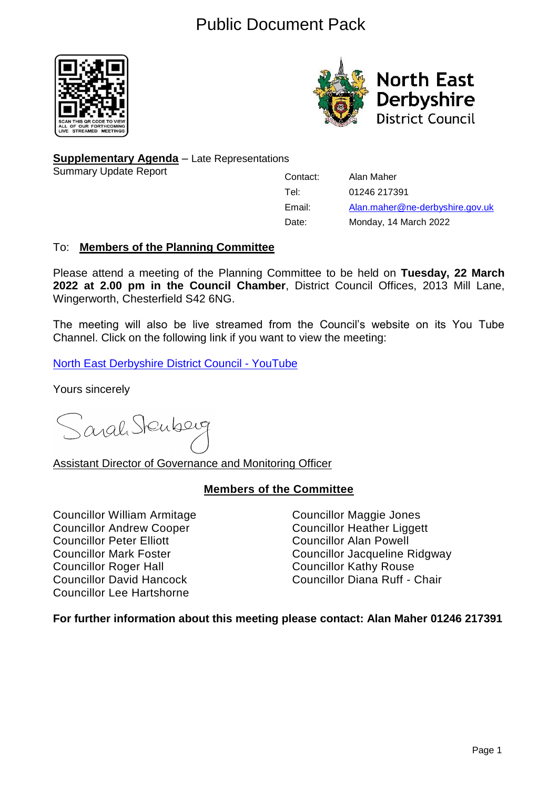# Public Document Pack





**Supplementary Agenda** – Late Representations

Summary Update Report

Contact: Alan Maher Tel: 01246 217391 Email: [Alan.maher@ne-derbyshire.gov.uk](mailto:Alan.maher@ne-derbyshire.gov.uk) Date: Monday, 14 March 2022

# To: **Members of the Planning Committee**

Please attend a meeting of the Planning Committee to be held on **Tuesday, 22 March 2022 at 2.00 pm in the Council Chamber**, District Council Offices, 2013 Mill Lane, Wingerworth, Chesterfield S42 6NG.

The meeting will also be live streamed from the Council's website on its You Tube Channel. Click on the following link if you want to view the meeting:

[North East Derbyshire District Council -](https://www.youtube.com/channel/UCAtAqurAPSDhWR0zf_M6XGg?view_as=subscriber) YouTube

Yours sincerely

Sarah Stenberg

Assistant Director of Governance and Monitoring Officer

# **Members of the Committee**

Councillor William Armitage Councillor Maggie Jones Councillor Andrew Cooper<br>
Councillor Councillor Peter Elliott<br>
Councillor Alan Powell Councillor Roger Hall Councillor Kathy Rouse Councillor Lee Hartshorne

Councillor Alan Powell Councillor Mark Foster Councillor Jacqueline Ridgway Councillor David Hancock Councillor Diana Ruff - Chair

# **For further information about this meeting please contact: Alan Maher 01246 217391**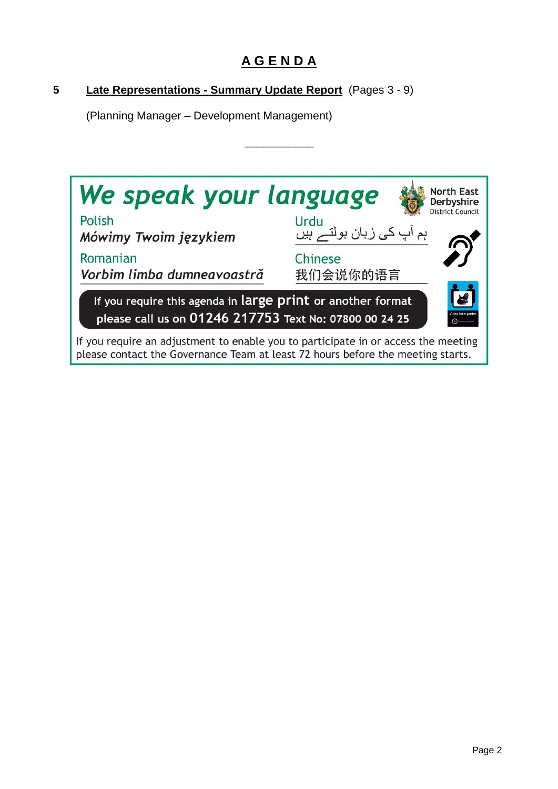# **A G E N D A**

\_\_\_\_\_\_\_\_\_\_\_

# **5 Late Representations - Summary Update Report** (Pages 3 - 9)

(Planning Manager – Development Management)

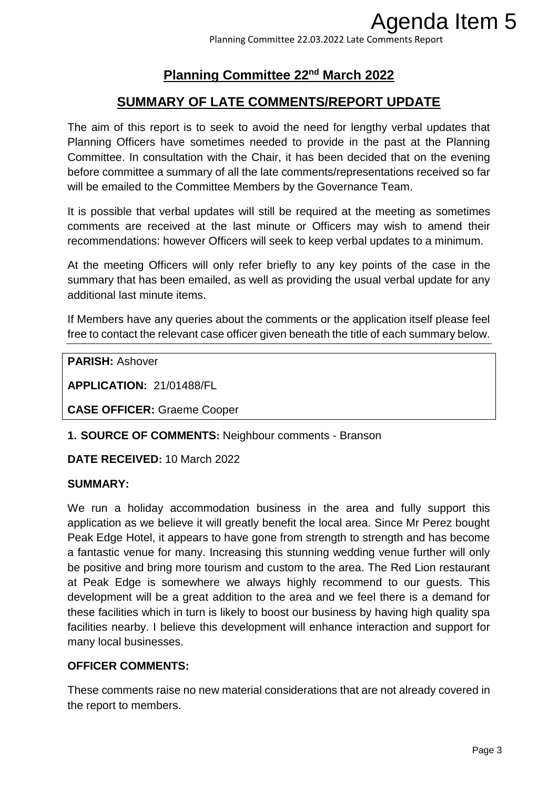Planning Committee 22.03.2022 Late Comments Report

# **Planning Committee 22nd March 2022**

# **SUMMARY OF LATE COMMENTS/REPORT UPDATE**

The aim of this report is to seek to avoid the need for lengthy verbal updates that Planning Officers have sometimes needed to provide in the past at the Planning Committee. In consultation with the Chair, it has been decided that on the evening before committee a summary of all the late comments/representations received so far will be emailed to the Committee Members by the Governance Team.

It is possible that verbal updates will still be required at the meeting as sometimes comments are received at the last minute or Officers may wish to amend their recommendations: however Officers will seek to keep verbal updates to a minimum.

At the meeting Officers will only refer briefly to any key points of the case in the summary that has been emailed, as well as providing the usual verbal update for any additional last minute items.

If Members have any queries about the comments or the application itself please feel free to contact the relevant case officer given beneath the title of each summary below.

**PARISH:** Ashover

**APPLICATION:** 21/01488/FL

**CASE OFFICER:** Graeme Cooper

**1. SOURCE OF COMMENTS:** Neighbour comments - Branson

**DATE RECEIVED:** 10 March 2022

#### **SUMMARY:**

We run a holiday accommodation business in the area and fully support this application as we believe it will greatly benefit the local area. Since Mr Perez bought Peak Edge Hotel, it appears to have gone from strength to strength and has become a fantastic venue for many. Increasing this stunning wedding venue further will only be positive and bring more tourism and custom to the area. The Red Lion restaurant at Peak Edge is somewhere we always highly recommend to our guests. This development will be a great addition to the area and we feel there is a demand for these facilities which in turn is likely to boost our business by having high quality spa facilities nearby. I believe this development will enhance interaction and support for many local businesses. Agenda Item 5<br>
Somments Report<br>
2022<br>
27 UPDATE<br>
Ethy verbal updates that<br>
ee past at the Planning<br>
bled that on the evening<br>
meeting as sometimes<br>
y wish to amend their<br>
updates to a minimum.<br>
Dints of the case in the<br>
al

# **OFFICER COMMENTS:**

These comments raise no new material considerations that are not already covered in the report to members.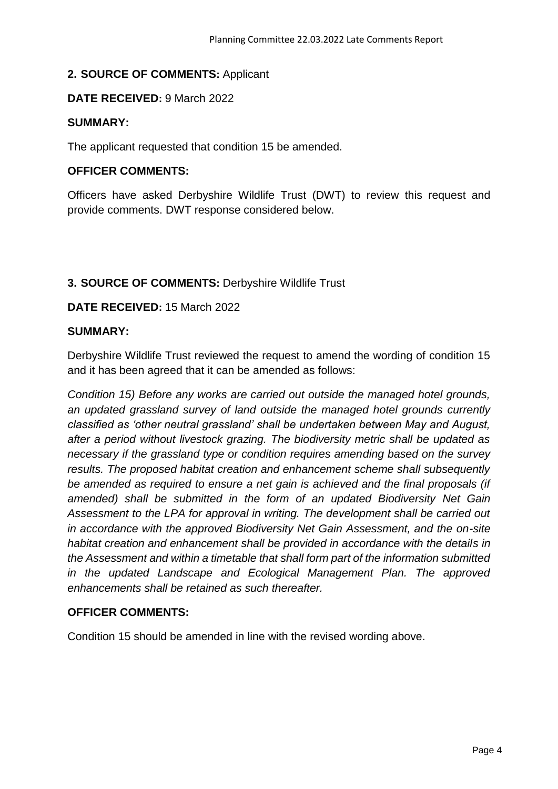# **2. SOURCE OF COMMENTS:** Applicant

#### **DATE RECEIVED:** 9 March 2022

#### **SUMMARY:**

The applicant requested that condition 15 be amended.

### **OFFICER COMMENTS:**

Officers have asked Derbyshire Wildlife Trust (DWT) to review this request and provide comments. DWT response considered below.

# **3. SOURCE OF COMMENTS:** Derbyshire Wildlife Trust

# **DATE RECEIVED:** 15 March 2022

#### **SUMMARY:**

Derbyshire Wildlife Trust reviewed the request to amend the wording of condition 15 and it has been agreed that it can be amended as follows:

*Condition 15) Before any works are carried out outside the managed hotel grounds, an updated grassland survey of land outside the managed hotel grounds currently classified as 'other neutral grassland' shall be undertaken between May and August, after a period without livestock grazing. The biodiversity metric shall be updated as necessary if the grassland type or condition requires amending based on the survey results. The proposed habitat creation and enhancement scheme shall subsequently be amended as required to ensure a net gain is achieved and the final proposals (if amended) shall be submitted in the form of an updated Biodiversity Net Gain Assessment to the LPA for approval in writing. The development shall be carried out in accordance with the approved Biodiversity Net Gain Assessment, and the on-site habitat creation and enhancement shall be provided in accordance with the details in the Assessment and within a timetable that shall form part of the information submitted in the updated Landscape and Ecological Management Plan. The approved enhancements shall be retained as such thereafter.* 

# **OFFICER COMMENTS:**

Condition 15 should be amended in line with the revised wording above.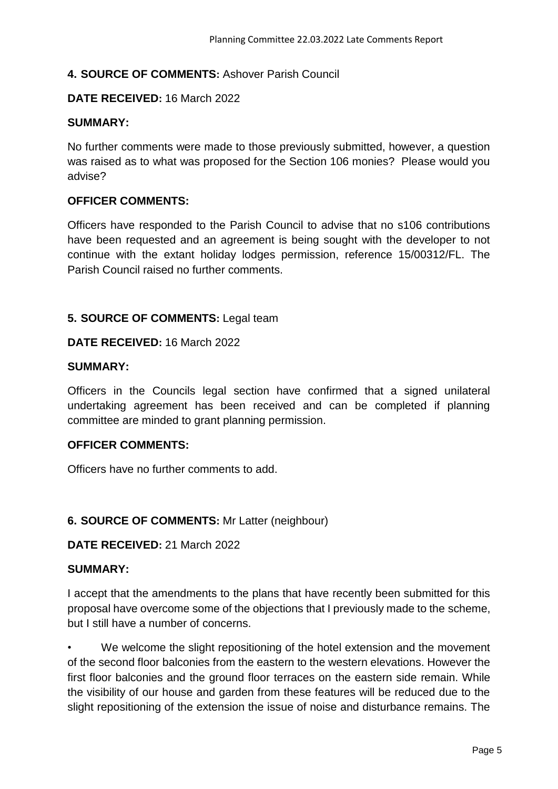# **4. SOURCE OF COMMENTS:** Ashover Parish Council

#### **DATE RECEIVED:** 16 March 2022

#### **SUMMARY:**

No further comments were made to those previously submitted, however, a question was raised as to what was proposed for the Section 106 monies? Please would you advise?

#### **OFFICER COMMENTS:**

Officers have responded to the Parish Council to advise that no s106 contributions have been requested and an agreement is being sought with the developer to not continue with the extant holiday lodges permission, reference 15/00312/FL. The Parish Council raised no further comments.

#### **5. SOURCE OF COMMENTS:** Legal team

#### **DATE RECEIVED:** 16 March 2022

#### **SUMMARY:**

Officers in the Councils legal section have confirmed that a signed unilateral undertaking agreement has been received and can be completed if planning committee are minded to grant planning permission.

#### **OFFICER COMMENTS:**

Officers have no further comments to add.

#### **6. SOURCE OF COMMENTS:** Mr Latter (neighbour)

#### **DATE RECEIVED:** 21 March 2022

#### **SUMMARY:**

I accept that the amendments to the plans that have recently been submitted for this proposal have overcome some of the objections that I previously made to the scheme, but I still have a number of concerns.

We welcome the slight repositioning of the hotel extension and the movement of the second floor balconies from the eastern to the western elevations. However the first floor balconies and the ground floor terraces on the eastern side remain. While the visibility of our house and garden from these features will be reduced due to the slight repositioning of the extension the issue of noise and disturbance remains. The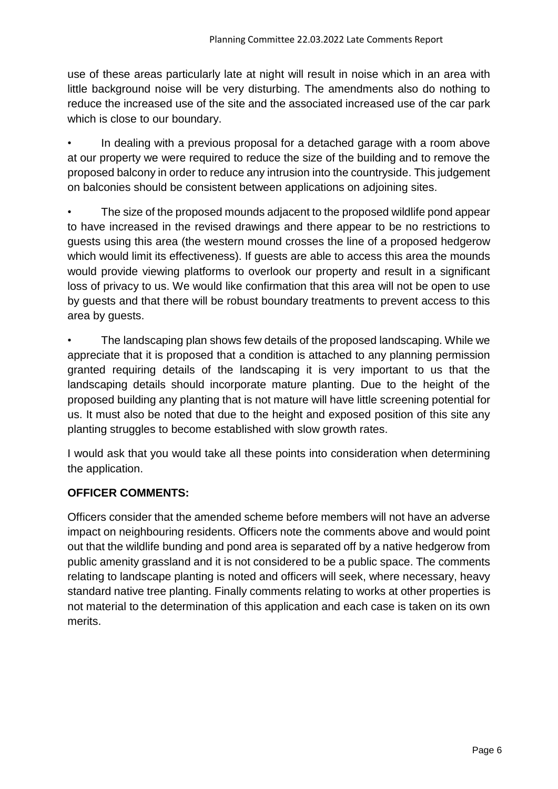use of these areas particularly late at night will result in noise which in an area with little background noise will be very disturbing. The amendments also do nothing to reduce the increased use of the site and the associated increased use of the car park which is close to our boundary.

• In dealing with a previous proposal for a detached garage with a room above at our property we were required to reduce the size of the building and to remove the proposed balcony in order to reduce any intrusion into the countryside. This judgement on balconies should be consistent between applications on adjoining sites.

• The size of the proposed mounds adjacent to the proposed wildlife pond appear to have increased in the revised drawings and there appear to be no restrictions to guests using this area (the western mound crosses the line of a proposed hedgerow which would limit its effectiveness). If guests are able to access this area the mounds would provide viewing platforms to overlook our property and result in a significant loss of privacy to us. We would like confirmation that this area will not be open to use by guests and that there will be robust boundary treatments to prevent access to this area by guests.

• The landscaping plan shows few details of the proposed landscaping. While we appreciate that it is proposed that a condition is attached to any planning permission granted requiring details of the landscaping it is very important to us that the landscaping details should incorporate mature planting. Due to the height of the proposed building any planting that is not mature will have little screening potential for us. It must also be noted that due to the height and exposed position of this site any planting struggles to become established with slow growth rates.

I would ask that you would take all these points into consideration when determining the application.

# **OFFICER COMMENTS:**

Officers consider that the amended scheme before members will not have an adverse impact on neighbouring residents. Officers note the comments above and would point out that the wildlife bunding and pond area is separated off by a native hedgerow from public amenity grassland and it is not considered to be a public space. The comments relating to landscape planting is noted and officers will seek, where necessary, heavy standard native tree planting. Finally comments relating to works at other properties is not material to the determination of this application and each case is taken on its own merits.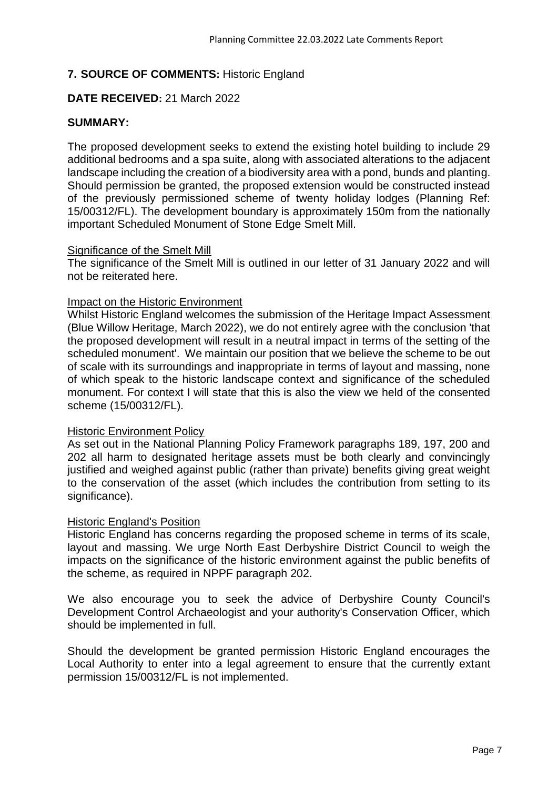# **7. SOURCE OF COMMENTS:** Historic England

# **DATE RECEIVED:** 21 March 2022

### **SUMMARY:**

The proposed development seeks to extend the existing hotel building to include 29 additional bedrooms and a spa suite, along with associated alterations to the adjacent landscape including the creation of a biodiversity area with a pond, bunds and planting. Should permission be granted, the proposed extension would be constructed instead of the previously permissioned scheme of twenty holiday lodges (Planning Ref: 15/00312/FL). The development boundary is approximately 150m from the nationally important Scheduled Monument of Stone Edge Smelt Mill.

#### Significance of the Smelt Mill

The significance of the Smelt Mill is outlined in our letter of 31 January 2022 and will not be reiterated here.

#### Impact on the Historic Environment

Whilst Historic England welcomes the submission of the Heritage Impact Assessment (Blue Willow Heritage, March 2022), we do not entirely agree with the conclusion 'that the proposed development will result in a neutral impact in terms of the setting of the scheduled monument'. We maintain our position that we believe the scheme to be out of scale with its surroundings and inappropriate in terms of layout and massing, none of which speak to the historic landscape context and significance of the scheduled monument. For context I will state that this is also the view we held of the consented scheme (15/00312/FL).

#### Historic Environment Policy

As set out in the National Planning Policy Framework paragraphs 189, 197, 200 and 202 all harm to designated heritage assets must be both clearly and convincingly justified and weighed against public (rather than private) benefits giving great weight to the conservation of the asset (which includes the contribution from setting to its significance).

#### Historic England's Position

Historic England has concerns regarding the proposed scheme in terms of its scale, layout and massing. We urge North East Derbyshire District Council to weigh the impacts on the significance of the historic environment against the public benefits of the scheme, as required in NPPF paragraph 202.

We also encourage you to seek the advice of Derbyshire County Council's Development Control Archaeologist and your authority's Conservation Officer, which should be implemented in full.

Should the development be granted permission Historic England encourages the Local Authority to enter into a legal agreement to ensure that the currently extant permission 15/00312/FL is not implemented.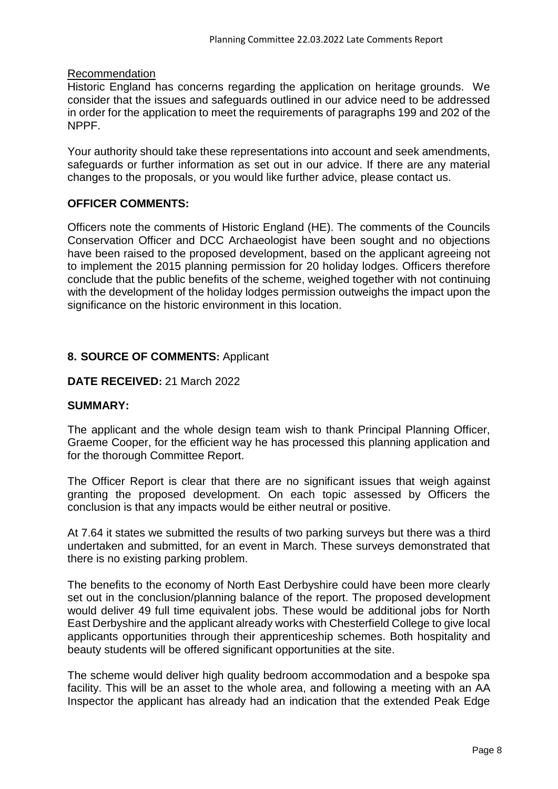#### Recommendation

Historic England has concerns regarding the application on heritage grounds. We consider that the issues and safeguards outlined in our advice need to be addressed in order for the application to meet the requirements of paragraphs 199 and 202 of the NPPF.

Your authority should take these representations into account and seek amendments, safeguards or further information as set out in our advice. If there are any material changes to the proposals, or you would like further advice, please contact us.

### **OFFICER COMMENTS:**

Officers note the comments of Historic England (HE). The comments of the Councils Conservation Officer and DCC Archaeologist have been sought and no objections have been raised to the proposed development, based on the applicant agreeing not to implement the 2015 planning permission for 20 holiday lodges. Officers therefore conclude that the public benefits of the scheme, weighed together with not continuing with the development of the holiday lodges permission outweighs the impact upon the significance on the historic environment in this location.

#### **8. SOURCE OF COMMENTS:** Applicant

#### **DATE RECEIVED:** 21 March 2022

#### **SUMMARY:**

The applicant and the whole design team wish to thank Principal Planning Officer, Graeme Cooper, for the efficient way he has processed this planning application and for the thorough Committee Report.

The Officer Report is clear that there are no significant issues that weigh against granting the proposed development. On each topic assessed by Officers the conclusion is that any impacts would be either neutral or positive.

At 7.64 it states we submitted the results of two parking surveys but there was a third undertaken and submitted, for an event in March. These surveys demonstrated that there is no existing parking problem.

The benefits to the economy of North East Derbyshire could have been more clearly set out in the conclusion/planning balance of the report. The proposed development would deliver 49 full time equivalent jobs. These would be additional jobs for North East Derbyshire and the applicant already works with Chesterfield College to give local applicants opportunities through their apprenticeship schemes. Both hospitality and beauty students will be offered significant opportunities at the site.

The scheme would deliver high quality bedroom accommodation and a bespoke spa facility. This will be an asset to the whole area, and following a meeting with an AA Inspector the applicant has already had an indication that the extended Peak Edge